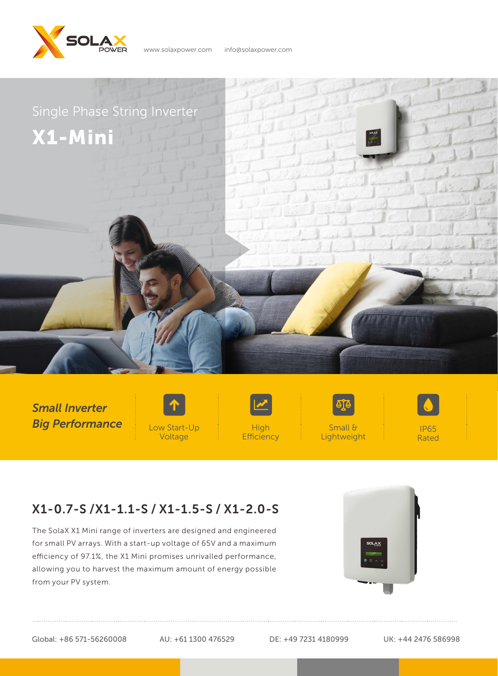

www.solaxpower.com info@solaxpower.com



*Small Inverter Big Performance* Low Start-Up





Small & Lightweight

IP65 Rated

## X1-0.7-S /X1-1.1-S / X1-1.5-S / X1-2.0-S

The SolaX X1 Mini range of inverters are designed and engineered for small PV arrays. With a start-up voltage of 65V and a maximum efficiency of 97.1%, the X1 Mini promises unrivalled performance, allowing you to harvest the maximum amount of energy possible from your PV system.